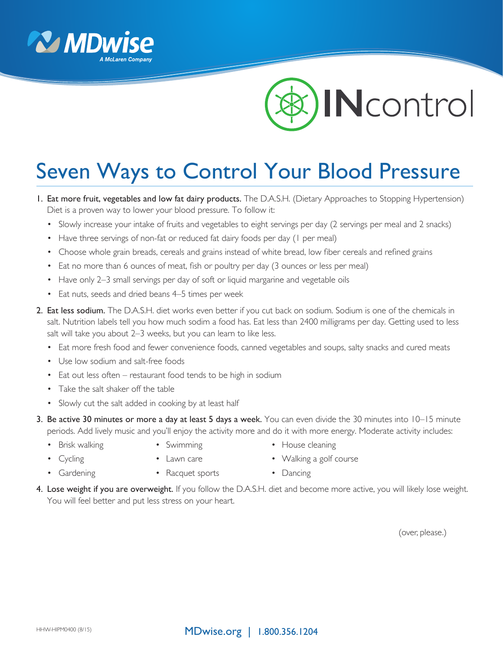



## Seven Ways to Control Your Blood Pressure

- 1. Eat more fruit, vegetables and low fat dairy products. The D.A.S.H. (Dietary Approaches to Stopping Hypertension) Diet is a proven way to lower your blood pressure. To follow it:
	- Slowly increase your intake of fruits and vegetables to eight servings per day (2 servings per meal and 2 snacks)
	- Have three servings of non-fat or reduced fat dairy foods per day (1 per meal)
	- • Choose whole grain breads, cereals and grains instead of white bread, low fiber cereals and refined grains
	- Eat no more than 6 ounces of meat, fish or poultry per day (3 ounces or less per meal)
	- Have only 2–3 small servings per day of soft or liquid margarine and vegetable oils
	- Eat nuts, seeds and dried beans 4–5 times per week
- 2. Eat less sodium. The D.A.S.H. diet works even better if you cut back on sodium. Sodium is one of the chemicals in salt. Nutrition labels tell you how much sodim a food has. Eat less than 2400 milligrams per day. Getting used to less salt will take you about 2–3 weeks, but you can learn to like less.
	- Eat more fresh food and fewer convenience foods, canned vegetables and soups, salty snacks and cured meats
	- Use low sodium and salt-free foods
	- Eat out less often restaurant food tends to be high in sodium
	- Take the salt shaker off the table
	- Slowly cut the salt added in cooking by at least half
- 3. Be active 30 minutes or more a day at least 5 days a week. You can even divide the 30 minutes into 10–15 minute periods. Add lively music and you'll enjoy the activity more and do it with more energy. Moderate activity includes:
	-
- 
- Brisk walking Swimming • House cleaning
- Cycling Lawn care • Walking a golf course
- 
- Gardening Racquet sports Dancing
	-
- 4. Lose weight if you are overweight. If you follow the D.A.S.H. diet and become more active, you will likely lose weight. You will feel better and put less stress on your heart.

(over, please.)